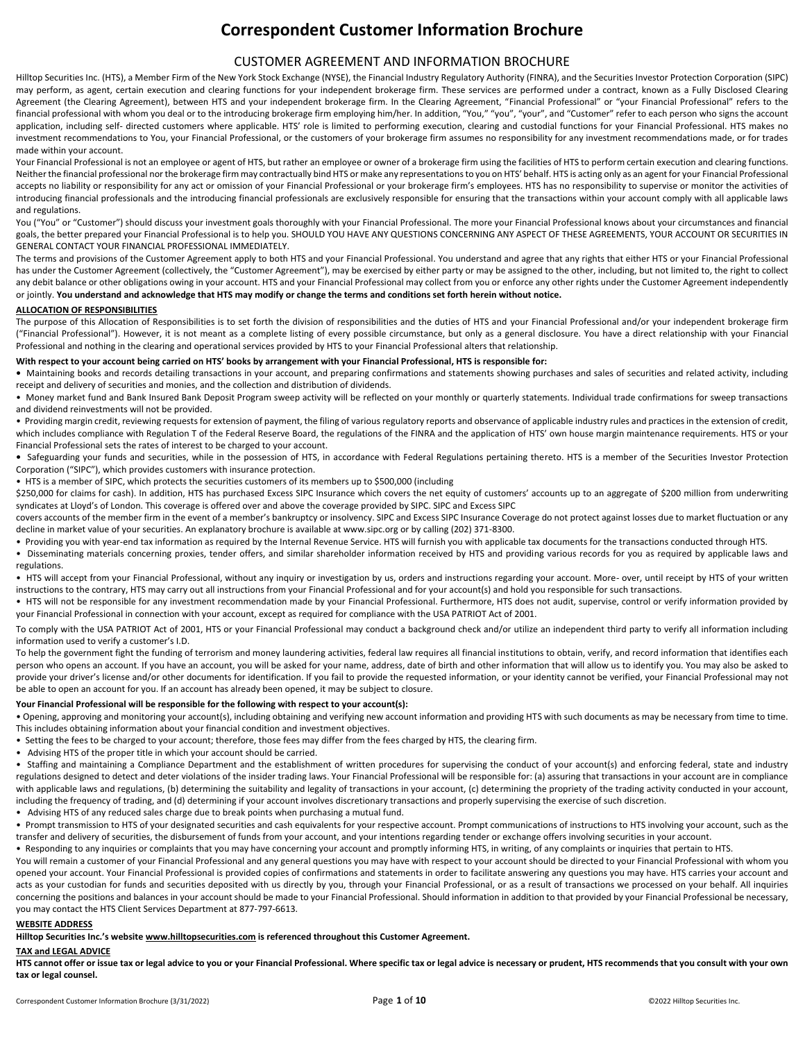# **Correspondent Customer Information Brochure**

# CUSTOMER AGREEMENT AND INFORMATION BROCHURE

Hilltop Securities Inc. (HTS), a Member Firm of the New York Stock Exchange (NYSE), the Financial Industry Regulatory Authority (FINRA), and the Securities Investor Protection Corporation (SIPC) may perform, as agent, certain execution and clearing functions for your independent brokerage firm. These services are performed under a contract, known as a Fully Disclosed Clearing Agreement (the Clearing Agreement), between HTS and your independent brokerage firm. In the Clearing Agreement, "Financial Professional" or "your Financial Professional" refers to the financial professional with whom you deal or to the introducing brokerage firm employing him/her. In addition, "You," "you", "your", and "Customer" refer to each person who signs the account application, including self- directed customers where applicable. HTS' role is limited to performing execution, clearing and custodial functions for your Financial Professional. HTS makes no investment recommendations to You, your Financial Professional, or the customers of your brokerage firm assumes no responsibility for any investment recommendations made, or for trades made within your account.

Your Financial Professional is not an employee or agent of HTS, but rather an employee or owner of a brokerage firm using the facilities of HTS to perform certain execution and clearing functions. Neither the financial professional nor the brokerage firm may contractually bind HTS or make any representations to you on HTS' behalf. HTS is acting only as an agent for your Financial Professional accepts no liability or responsibility for any act or omission of your Financial Professional or your brokerage firm's employees. HTS has no responsibility to supervise or monitor the activities of introducing financial professionals and the introducing financial professionals are exclusively responsible for ensuring that the transactions within your account comply with all applicable laws and regulations.

You ("You" or "Customer") should discuss your investment goals thoroughly with your Financial Professional. The more your Financial Professional knows about your circumstances and financial goals, the better prepared your Financial Professional is to help you. SHOULD YOU HAVE ANY QUESTIONS CONCERNING ANY ASPECT OF THESE AGREEMENTS, YOUR ACCOUNT OR SECURITIES IN GENERAL CONTACT YOUR FINANCIAL PROFESSIONAL IMMEDIATELY.

The terms and provisions of the Customer Agreement apply to both HTS and your Financial Professional. You understand and agree that any rights that either HTS or your Financial Professional has under the Customer Agreement (collectively, the "Customer Agreement"), may be exercised by either party or may be assigned to the other, including, but not limited to, the right to collect any debit balance or other obligations owing in your account. HTS and your Financial Professional may collect from you or enforce any other rights under the Customer Agreement independently or jointly. **You understand and acknowledge that HTS may modify or change the terms and conditions set forth herein without notice.**

## **ALLOCATION OF RESPONSIBILITIES**

The purpose of this Allocation of Responsibilities is to set forth the division of responsibilities and the duties of HTS and your Financial Professional and/or your independent brokerage firm ("Financial Professional"). However, it is not meant as a complete listing of every possible circumstance, but only as a general disclosure. You have a direct relationship with your Financial Professional and nothing in the clearing and operational services provided by HTS to your Financial Professional alters that relationship.

#### **With respect to your account being carried on HTS' books by arrangement with your Financial Professional, HTS is responsible for:**

**•** Maintaining books and records detailing transactions in your account, and preparing confirmations and statements showing purchases and sales of securities and related activity, including receipt and delivery of securities and monies, and the collection and distribution of dividends.

• Money market fund and Bank Insured Bank Deposit Program sweep activity will be reflected on your monthly or quarterly statements. Individual trade confirmations for sweep transactions and dividend reinvestments will not be provided.

• Providing margin credit, reviewing requests for extension of payment, the filing of various regulatory reports and observance of applicable industry rules and practices in the extension of credit, which includes compliance with Regulation T of the Federal Reserve Board, the regulations of the FINRA and the application of HTS' own house margin maintenance requirements. HTS or your Financial Professional sets the rates of interest to be charged to your account.

**•** Safeguarding your funds and securities, while in the possession of HTS, in accordance with Federal Regulations pertaining thereto. HTS is a member of the Securities Investor Protection Corporation ("SIPC"), which provides customers with insurance protection.

• HTS is a member of SIPC, which protects the securities customers of its members up to \$500,000 (including

\$250,000 for claims for cash). In addition, HTS has purchased Excess SIPC Insurance which covers the net equity of customers' accounts up to an aggregate of \$200 million from underwriting syndicates at Lloyd's of London. This coverage is offered over and above the coverage provided by SIPC. SIPC and Excess SIPC

covers accounts of the member firm in the event of a member's bankruptcy or insolvency. SIPC and Excess SIPC Insurance Coverage do not protect against losses due to market fluctuation or any decline in market value of your securities. An explanatory brochure is available at www.sipc.org or by calling (202) 371-8300.

- Providing you with year-end tax information as required by the Internal Revenue Service. HTS will furnish you with applicable tax documents for the transactions conducted through HTS.
- Disseminating materials concerning proxies, tender offers, and similar shareholder information received by HTS and providing various records for you as required by applicable laws and regulations.

• HTS will accept from your Financial Professional, without any inquiry or investigation by us, orders and instructions regarding your account. More- over, until receipt by HTS of your written instructions to the contrary, HTS may carry out all instructions from your Financial Professional and for your account(s) and hold you responsible for such transactions.

• HTS will not be responsible for any investment recommendation made by your Financial Professional. Furthermore, HTS does not audit, supervise, control or verify information provided by your Financial Professional in connection with your account, except as required for compliance with the USA PATRIOT Act of 2001.

To comply with the USA PATRIOT Act of 2001, HTS or your Financial Professional may conduct a background check and/or utilize an independent third party to verify all information including information used to verify a customer's I.D.

To help the government fight the funding of terrorism and money laundering activities, federal law requires all financial institutions to obtain, verify, and record information that identifies each person who opens an account. If you have an account, you will be asked for your name, address, date of birth and other information that will allow us to identify you. You may also be asked to provide your driver's license and/or other documents for identification. If you fail to provide the requested information, or your identity cannot be verified, your Financial Professional may not be able to open an account for you. If an account has already been opened, it may be subject to closure.

## **Your Financial Professional will be responsible for the following with respect to your account(s):**

• Opening, approving and monitoring your account(s), including obtaining and verifying new account information and providing HTS with such documents as may be necessary from time to time. This includes obtaining information about your financial condition and investment objectives.

- Setting the fees to be charged to your account; therefore, those fees may differ from the fees charged by HTS, the clearing firm.
- Advising HTS of the proper title in which your account should be carried.

• Staffing and maintaining a Compliance Department and the establishment of written procedures for supervising the conduct of your account(s) and enforcing federal, state and industry regulations designed to detect and deter violations of the insider trading laws. Your Financial Professional will be responsible for: (a) assuring that transactions in your account are in compliance with applicable laws and regulations, (b) determining the suitability and legality of transactions in your account, (c) determining the propriety of the trading activity conducted in your account, including the frequency of trading, and (d) determining if your account involves discretionary transactions and properly supervising the exercise of such discretion.

• Advising HTS of any reduced sales charge due to break points when purchasing a mutual fund.

Prompt transmission to HTS of your designated securities and cash equivalents for your respective account. Prompt communications of instructions to HTS involving your account, such as the transfer and delivery of securities, the disbursement of funds from your account, and your intentions regarding tender or exchange offers involving securities in your account.

Responding to any inquiries or complaints that you may have concerning your account and promptly informing HTS, in writing, of any complaints or inquiries that pertain to HTS.

You will remain a customer of your Financial Professional and any general questions you may have with respect to your account should be directed to your Financial Professional with whom you opened your account. Your Financial Professional is provided copies of confirmations and statements in order to facilitate answering any questions you may have. HTS carries your account and acts as your custodian for funds and securities deposited with us directly by you, through your Financial Professional, or as a result of transactions we processed on your behalf. All inquiries concerning the positions and balances in your account should be made to your Financial Professional. Should information in addition to that provided by your Financial Professional be necessary, you may contact the HTS Client Services Department at 877-797-6613.

## **WEBSITE ADDRESS**

**Hilltop Securities Inc.'s website www.hilltopsecurities.com is referenced throughout this Customer Agreement.**

## **TAX and LEGAL ADVICE**

**HTS cannot offer or issue tax or legal advice to you or your Financial Professional. Where specific tax or legal advice is necessary or prudent, HTS recommends that you consult with your own tax or legal counsel.**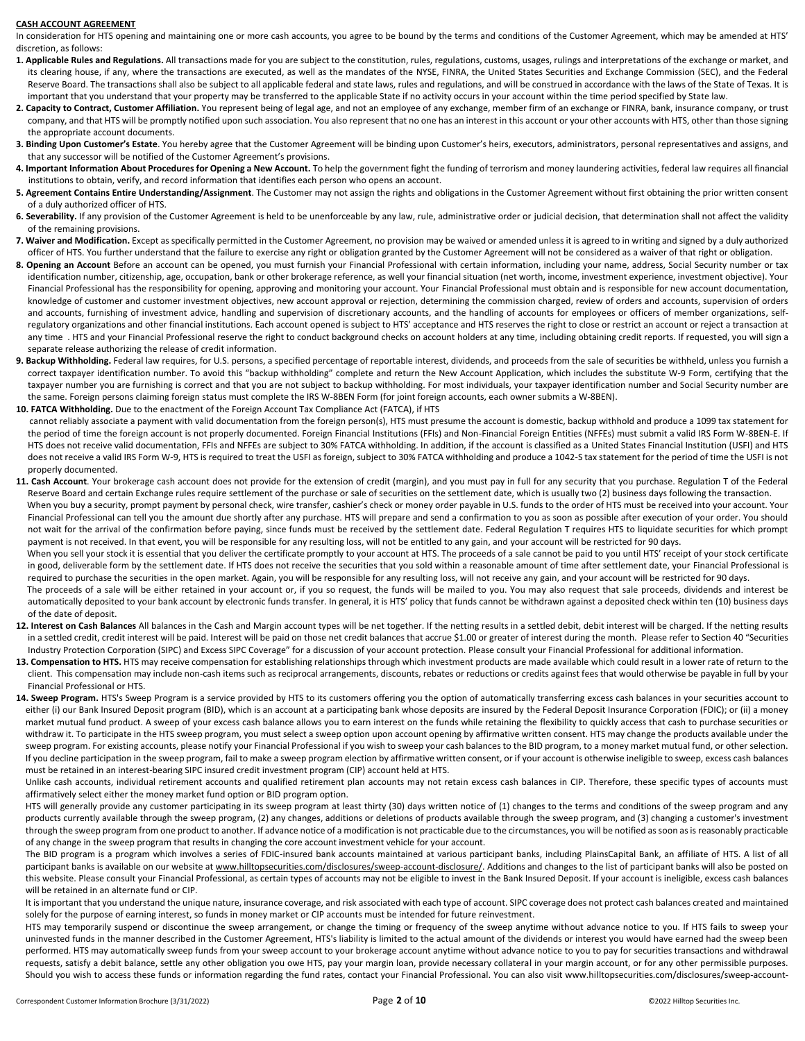#### **CASH ACCOUNT AGREEMENT**

In consideration for HTS opening and maintaining one or more cash accounts, you agree to be bound by the terms and conditions of the Customer Agreement, which may be amended at HTS' discretion, as follows:

- **1. Applicable Rules and Regulations.** All transactions made for you are subject to the constitution, rules, regulations, customs, usages, rulings and interpretations of the exchange or market, and its clearing house, if any, where the transactions are executed, as well as the mandates of the NYSE, FINRA, the United States Securities and Exchange Commission (SEC), and the Federal Reserve Board. The transactions shall also be subject to all applicable federal and state laws, rules and regulations, and will be construed in accordance with the laws of the State of Texas. It is important that you understand that your property may be transferred to the applicable State if no activity occurs in your account within the time period specified by State law.
- 2. Capacity to Contract, Customer Affiliation. You represent being of legal age, and not an employee of any exchange, member firm of an exchange or FINRA, bank, insurance company, or trust company, and that HTS will be promptly notified upon such association. You also represent that no one has an interest in this account or your other accounts with HTS, other than those signing the appropriate account documents.
- **3. Binding Upon Customer's Estate**. You hereby agree that the Customer Agreement will be binding upon Customer's heirs, executors, administrators, personal representatives and assigns, and that any successor will be notified of the Customer Agreement's provisions.
- **4. Important Information About Procedures for Opening a New Account.** To help the government fight the funding of terrorism and money laundering activities, federal law requires all financial institutions to obtain, verify, and record information that identifies each person who opens an account.
- **5. Agreement Contains Entire Understanding/Assignment**. The Customer may not assign the rights and obligations in the Customer Agreement without first obtaining the prior written consent of a duly authorized officer of HTS.
- 6. Severability. If any provision of the Customer Agreement is held to be unenforceable by any law, rule, administrative order or judicial decision, that determination shall not affect the validity of the remaining provisions.
- **7. Waiver and Modification.** Except as specifically permitted in the Customer Agreement, no provision may be waived or amended unless it is agreed to in writing and signed by a duly authorized officer of HTS. You further understand that the failure to exercise any right or obligation granted by the Customer Agreement will not be considered as a waiver of that right or obligation.
- **8. Opening an Account** Before an account can be opened, you must furnish your Financial Professional with certain information, including your name, address, Social Security number or tax identification number, citizenship, age, occupation, bank or other brokerage reference, as well your financial situation (net worth, income, investment experience, investment objective). Your Financial Professional has the responsibility for opening, approving and monitoring your account. Your Financial Professional must obtain and is responsible for new account documentation, knowledge of customer and customer investment objectives, new account approval or rejection, determining the commission charged, review of orders and accounts, supervision of orders and accounts, furnishing of investment advice, handling and supervision of discretionary accounts, and the handling of accounts for employees or officers of member organizations, selfregulatory organizations and other financial institutions. Each account opened is subject to HTS' acceptance and HTS reserves the right to close or restrict an account or reject a transaction at any time . HTS and your Financial Professional reserve the right to conduct background checks on account holders at any time, including obtaining credit reports. If requested, you will sign a separate release authorizing the release of credit information.
- **9. Backup Withholding.** Federal law requires, for U.S. persons, a specified percentage of reportable interest, dividends, and proceeds from the sale of securities be withheld, unless you furnish a correct taxpayer identification number. To avoid this "backup withholding" complete and return the New Account Application, which includes the substitute W-9 Form, certifying that the taxpayer number you are furnishing is correct and that you are not subject to backup withholding. For most individuals, your taxpayer identification number and Social Security number are the same. Foreign persons claiming foreign status must complete the IRS W-8BEN Form (for joint foreign accounts, each owner submits a W-8BEN).
- **10. FATCA Withholding.** Due to the enactment of the Foreign Account Tax Compliance Act (FATCA), if HTS
- cannot reliably associate a payment with valid documentation from the foreign person(s), HTS must presume the account is domestic, backup withhold and produce a 1099 tax statement for the period of time the foreign account is not properly documented. Foreign Financial Institutions (FFIs) and Non-Financial Foreign Entities (NFFEs) must submit a valid IRS Form W-8BEN-E. If HTS does not receive valid documentation, FFIs and NFFEs are subject to 30% FATCA withholding. In addition, if the account is classified as a United States Financial Institution (USFI) and HTS does not receive a valid IRS Form W-9, HTS is required to treat the USFI as foreign, subject to 30% FATCA withholding and produce a 1042-S tax statement for the period of time the USFI is not properly documented.
- 11. Cash Account. Your brokerage cash account does not provide for the extension of credit (margin), and you must pay in full for any security that you purchase. Regulation T of the Federal Reserve Board and certain Exchange rules require settlement of the purchase or sale of securities on the settlement date, which is usually two (2) business days following the transaction. When you buy a security, prompt payment by personal check, wire transfer, cashier's check or money order payable in U.S. funds to the order of HTS must be received into your account. Your Financial Professional can tell you the amount due shortly after any purchase. HTS will prepare and send a confirmation to you as soon as possible after execution of your order. You should not wait for the arrival of the confirmation before paying, since funds must be received by the settlement date. Federal Regulation T requires HTS to liquidate securities for which prompt payment is not received. In that event, you will be responsible for any resulting loss, will not be entitled to any gain, and your account will be restricted for 90 days. When you sell your stock it is essential that you deliver the certificate promptly to your account at HTS. The proceeds of a sale cannot be paid to you until HTS' receipt of your stock certificate in good, deliverable form by the settlement date. If HTS does not receive the securities that you sold within a reasonable amount of time after settlement date, your Financial Professional is required to purchase the securities in the open market. Again, you will be responsible for any resulting loss, will not receive any gain, and your account will be restricted for 90 days. The proceeds of a sale will be either retained in your account or, if you so request, the funds will be mailed to you. You may also request that sale proceeds, dividends and interest be automatically deposited to your bank account by electronic funds transfer. In general, it is HTS' policy that funds cannot be withdrawn against a deposited check within ten (10) business days of the date of deposit.
- 12. Interest on Cash Balances All balances in the Cash and Margin account types will be net together. If the netting results in a settled debit, debit interest will be charged. If the netting results in a settled credit, credit interest will be paid. Interest will be paid on those net credit balances that accrue \$1.00 or greater of interest during the month. Please refer to Section 40 "Securities Industry Protection Corporation (SIPC) and Excess SIPC Coverage" for a discussion of your account protection. Please consult your Financial Professional for additional information.
- 13. Compensation to HTS. HTS may receive compensation for establishing relationships through which investment products are made available which could result in a lower rate of return to the client. This compensation may include non-cash items such as reciprocal arrangements, discounts, rebates or reductions or credits against fees that would otherwise be payable in full by your Financial Professional or HTS.
- 14. Sweep Program. HTS's Sweep Program is a service provided by HTS to its customers offering you the option of automatically transferring excess cash balances in your securities account to either (i) our Bank Insured Deposit program (BID), which is an account at a participating bank whose deposits are insured by the Federal Deposit Insurance Corporation (FDIC); or (ii) a money market mutual fund product. A sweep of your excess cash balance allows you to earn interest on the funds while retaining the flexibility to quickly access that cash to purchase securities or withdraw it. To participate in the HTS sweep program, you must select a sweep option upon account opening by affirmative written consent. HTS may change the products available under the sweep program. For existing accounts, please notify your Financial Professional if you wish to sweep your cash balances to the BID program, to a money market mutual fund, or other selection. If you decline participation in the sweep program, fail to make a sweep program election by affirmative written consent, or if your account is otherwise ineligible to sweep, excess cash balances must be retained in an interest-bearing SIPC insured credit investment program (CIP) account held at HTS.

Unlike cash accounts, individual retirement accounts and qualified retirement plan accounts may not retain excess cash balances in CIP. Therefore, these specific types of accounts must affirmatively select either the money market fund option or BID program option.

HTS will generally provide any customer participating in its sweep program at least thirty (30) days written notice of (1) changes to the terms and conditions of the sweep program and any products currently available through the sweep program, (2) any changes, additions or deletions of products available through the sweep program, and (3) changing a customer's investment through the sweep program from one product to another. If advance notice of a modification is not practicable due to the circumstances, you will be notified as soon as is reasonably practicable of any change in the sweep program that results in changing the core account investment vehicle for your account.

The BID program is a program which involves a series of FDIC-insured bank accounts maintained at various participant banks, including PlainsCapital Bank, an affiliate of HTS. A list of all participant banks is available on our website at www.hilltopsecurities.com/disclosures/sweep-account-disclosure/. Additions and changes to the list of participant banks will also be posted on this website. Please consult your Financial Professional, as certain types of accounts may not be eligible to invest in the Bank Insured Deposit. If your account is ineligible, excess cash balances will be retained in an alternate fund or CIP.

It is important that you understand the unique nature, insurance coverage, and risk associated with each type of account. SIPC coverage does not protect cash balances created and maintained solely for the purpose of earning interest, so funds in money market or CIP accounts must be intended for future reinvestment.

HTS may temporarily suspend or discontinue the sweep arrangement, or change the timing or frequency of the sweep anytime without advance notice to you. If HTS fails to sweep your uninvested funds in the manner described in the Customer Agreement, HTS's liability is limited to the actual amount of the dividends or interest you would have earned had the sweep been performed. HTS may automatically sweep funds from your sweep account to your brokerage account anytime without advance notice to you to pay for securities transactions and withdrawal requests, satisfy a debit balance, settle any other obligation you owe HTS, pay your margin loan, provide necessary collateral in your margin account, or for any other permissible purposes. Should you wish to access these funds or information regarding the fund rates, contact your Financial Professional. You can also visit www.hilltopsecurities.com/disclosures/sweep-account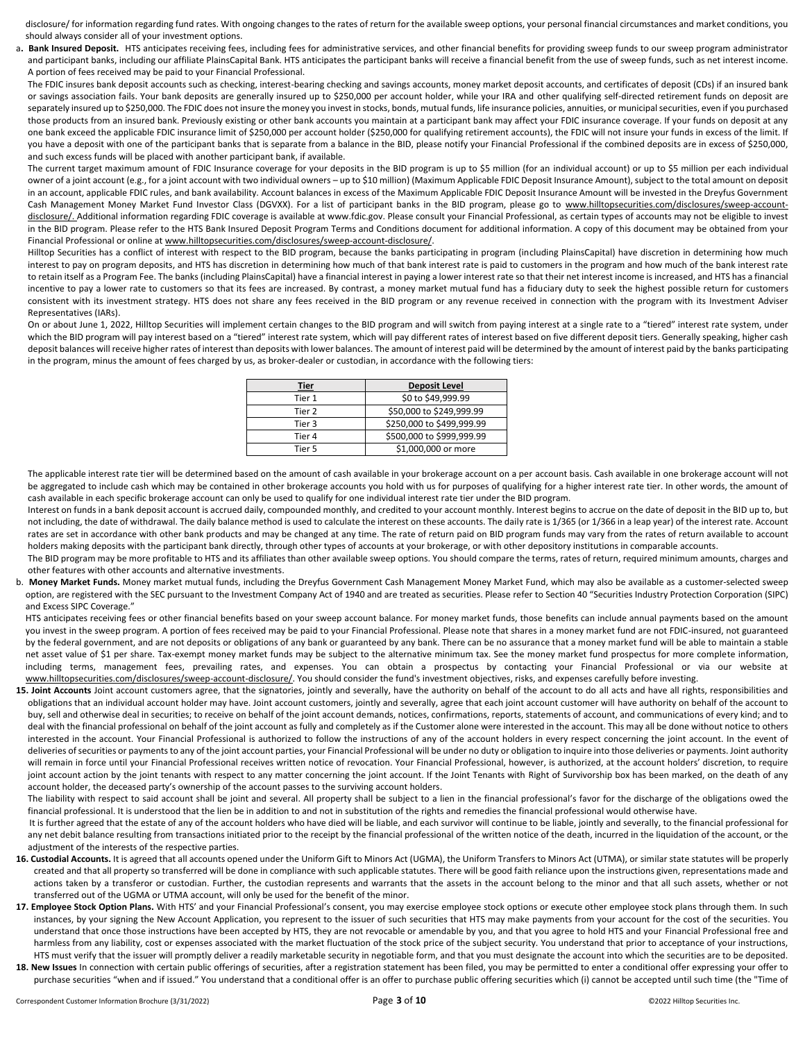disclosure/ for information regarding fund rates. With ongoing changes to the rates of return for the available sweep options, your personal financial circumstances and market conditions, you should always consider all of your investment options.

a. Bank Insured Deposit. HTS anticipates receiving fees, including fees for administrative services, and other financial benefits for providing sweep funds to our sweep program administrator and participant banks, including our affiliate PlainsCapital Bank. HTS anticipates the participant banks will receive a financial benefit from the use of sweep funds, such as net interest income. A portion of fees received may be paid to your Financial Professional.

The FDIC insures bank deposit accounts such as checking, interest-bearing checking and savings accounts, money market deposit accounts, and certificates of deposit (CDs) if an insured bank or savings association fails. Your bank deposits are generally insured up to \$250,000 per account holder, while your IRA and other qualifying self-directed retirement funds on deposit are separately insured up to \$250,000. The FDIC does not insure the money you invest in stocks, bonds, mutual funds, life insurance policies, annuities, or municipal securities, even if you purchased those products from an insured bank. Previously existing or other bank accounts you maintain at a participant bank may affect your FDIC insurance coverage. If your funds on deposit at any one bank exceed the applicable FDIC insurance limit of \$250,000 per account holder (\$250,000 for qualifying retirement accounts), the FDIC will not insure your funds in excess of the limit. If you have a deposit with one of the participant banks that is separate from a balance in the BID, please notify your Financial Professional if the combined deposits are in excess of \$250,000, and such excess funds will be placed with another participant bank, if available.

The current target maximum amount of FDIC Insurance coverage for your deposits in the BID program is up to \$5 million (for an individual account) or up to \$5 million per each individual owner of a joint account (e.g., for a joint account with two individual owners – up to \$10 million) (Maximum Applicable FDIC Deposit Insurance Amount), subject to the total amount on deposit in an account, applicable FDIC rules, and bank availability. Account balances in excess of the Maximum Applicable FDIC Deposit Insurance Amount will be invested in the Dreyfus Government Cash Management Money Market Fund Investor Class (DGVXX). For a list of participant banks in the BID program, please go to www.hilltopsecurities.com/disclosures/sweep-accountdisclosure/. Additional information regarding FDIC coverage is available at www.fdic.gov. Please consult your Financial Professional, as certain types of accounts may not be eligible to invest in the BID program. Please refer to the HTS Bank Insured Deposit Program Terms and Conditions document for additional information. A copy of this document may be obtained from your Financial Professional or online at www.hilltopsecurities.com/disclosures/sweep-account-disclosure/.

Hilltop Securities has a conflict of interest with respect to the BID program, because the banks participating in program (including PlainsCapital) have discretion in determining how much interest to pay on program deposits, and HTS has discretion in determining how much of that bank interest rate is paid to customers in the program and how much of the bank interest rate to retain itself as a Program Fee. The banks (including PlainsCapital) have a financial interest in paying a lower interest rate so that their net interest income is increased, and HTS has a financial incentive to pay a lower rate to customers so that its fees are increased. By contrast, a money market mutual fund has a fiduciary duty to seek the highest possible return for customers consistent with its investment strategy. HTS does not share any fees received in the BID program or any revenue received in connection with the program with its Investment Adviser Representatives (IARs).

On or about June 1, 2022, Hilltop Securities will implement certain changes to the BID program and will switch from paying interest at a single rate to a "tiered" interest rate system, under which the BID program will pay interest based on a "tiered" interest rate system, which will pay different rates of interest based on five different deposit tiers. Generally speaking, higher cash deposit balances will receive higher rates of interest than deposits with lower balances. The amount of interest paid will be determined by the amount of interest paid by the banks participating in the program, minus the amount of fees charged by us, as broker-dealer or custodian, in accordance with the following tiers:

| Tier   | <b>Deposit Level</b>      |
|--------|---------------------------|
| Tier 1 | \$0 to \$49,999.99        |
| Tier 2 | \$50,000 to \$249,999.99  |
| Tier 3 | \$250,000 to \$499,999.99 |
| Tier 4 | \$500,000 to \$999,999.99 |
| Tier 5 | \$1,000,000 or more       |

The applicable interest rate tier will be determined based on the amount of cash available in your brokerage account on a per account basis. Cash available in one brokerage account will not be aggregated to include cash which may be contained in other brokerage accounts you hold with us for purposes of qualifying for a higher interest rate tier. In other words, the amount of cash available in each specific brokerage account can only be used to qualify for one individual interest rate tier under the BID program.

Interest on funds in a bank deposit account is accrued daily, compounded monthly, and credited to your account monthly. Interest begins to accrue on the date of deposit in the BID up to, but not including, the date of withdrawal. The daily balance method is used to calculate the interest on these accounts. The daily rate is 1/365 (or 1/366 in a leap year) of the interest rate. Account rates are set in accordance with other bank products and may be changed at any time. The rate of return paid on BID program funds may vary from the rates of return available to account holders making deposits with the participant bank directly, through other types of accounts at your brokerage, or with other depository institutions in comparable accounts.

The BID program may be more profitable to HTS and its affiliates than other available sweep options. You should compare the terms, rates of return, required minimum amounts, charges and other features with other accounts and alternative investments.

b. **Money Market Funds.** Money market mutual funds, including the Dreyfus Government Cash Management Money Market Fund, which may also be available as a customer-selected sweep option, are registered with the SEC pursuant to the Investment Company Act of 1940 and are treated as securities. Please refer to Section 40 "Securities Industry Protection Corporation (SIPC) and Excess SIPC Coverage."

HTS anticipates receiving fees or other financial benefits based on your sweep account balance. For money market funds, those benefits can include annual payments based on the amount you invest in the sweep program. A portion of fees received may be paid to your Financial Professional. Please note that shares in a money market fund are not FDIC-insured, not guaranteed by the federal government, and are not deposits or obligations of any bank or guaranteed by any bank. There can be no assurance that a money market fund will be able to maintain a stable net asset value of \$1 per share. Tax-exempt money market funds may be subject to the alternative minimum tax. See the money market fund prospectus for more complete information, including terms, management fees, prevailing rates, and expenses. You can obtain a prospectus by contacting your Financial Professional or via our website at www.hilltopsecurities.com/disclosures/sweep-account-disclosure/. You should consider the fund's investment objectives, risks, and expenses carefully before investing.

15. Joint Accounts Joint account customers agree, that the signatories, jointly and severally, have the authority on behalf of the account to do all acts and have all rights, responsibilities and obligations that an individual account holder may have. Joint account customers, jointly and severally, agree that each joint account customer will have authority on behalf of the account to buy, sell and otherwise deal in securities; to receive on behalf of the joint account demands, notices, confirmations, reports, statements of account, and communications of every kind; and to deal with the financial professional on behalf of the joint account as fully and completely as if the Customer alone were interested in the account. This may all be done without notice to others interested in the account. Your Financial Professional is authorized to follow the instructions of any of the account holders in every respect concerning the joint account. In the event of deliveries of securities or payments to any of the joint account parties, your Financial Professional will be under no duty or obligation to inquire into those deliveries or payments. Joint authority will remain in force until your Financial Professional receives written notice of revocation. Your Financial Professional, however, is authorized, at the account holders' discretion, to require joint account action by the joint tenants with respect to any matter concerning the joint account. If the Joint Tenants with Right of Survivorship box has been marked, on the death of any account holder, the deceased party's ownership of the account passes to the surviving account holders.

The liability with respect to said account shall be joint and several. All property shall be subject to a lien in the financial professional's favor for the discharge of the obligations owed the financial professional. It is understood that the lien be in addition to and not in substitution of the rights and remedies the financial professional would otherwise have.

It is further agreed that the estate of any of the account holders who have died will be liable, and each survivor will continue to be liable, jointly and severally, to the financial professional for any net debit balance resulting from transactions initiated prior to the receipt by the financial professional of the written notice of the death, incurred in the liquidation of the account, or the adjustment of the interests of the respective parties.

- 16. Custodial Accounts. It is agreed that all accounts opened under the Uniform Gift to Minors Act (UGMA), the Uniform Transfers to Minors Act (UTMA), or similar state statutes will be properly created and that all property so transferred will be done in compliance with such applicable statutes. There will be good faith reliance upon the instructions given, representations made and actions taken by a transferor or custodian. Further, the custodian represents and warrants that the assets in the account belong to the minor and that all such assets, whether or not transferred out of the UGMA or UTMA account, will only be used for the benefit of the minor.
- 17. Employee Stock Option Plans. With HTS' and your Financial Professional's consent, you may exercise employee stock options or execute other employee stock plans through them. In such instances, by your signing the New Account Application, you represent to the issuer of such securities that HTS may make payments from your account for the cost of the securities. You understand that once those instructions have been accepted by HTS, they are not revocable or amendable by you, and that you agree to hold HTS and your Financial Professional free and harmless from any liability, cost or expenses associated with the market fluctuation of the stock price of the subject security. You understand that prior to acceptance of your instructions, HTS must verify that the issuer will promptly deliver a readily marketable security in negotiable form, and that you must designate the account into which the securities are to be deposited.
- 18. New Issues In connection with certain public offerings of securities, after a registration statement has been filed, you may be permitted to enter a conditional offer expressing your offer to purchase securities "when and if issued." You understand that a conditional offer is an offer to purchase public offering securities which (i) cannot be accepted until such time (the "Time of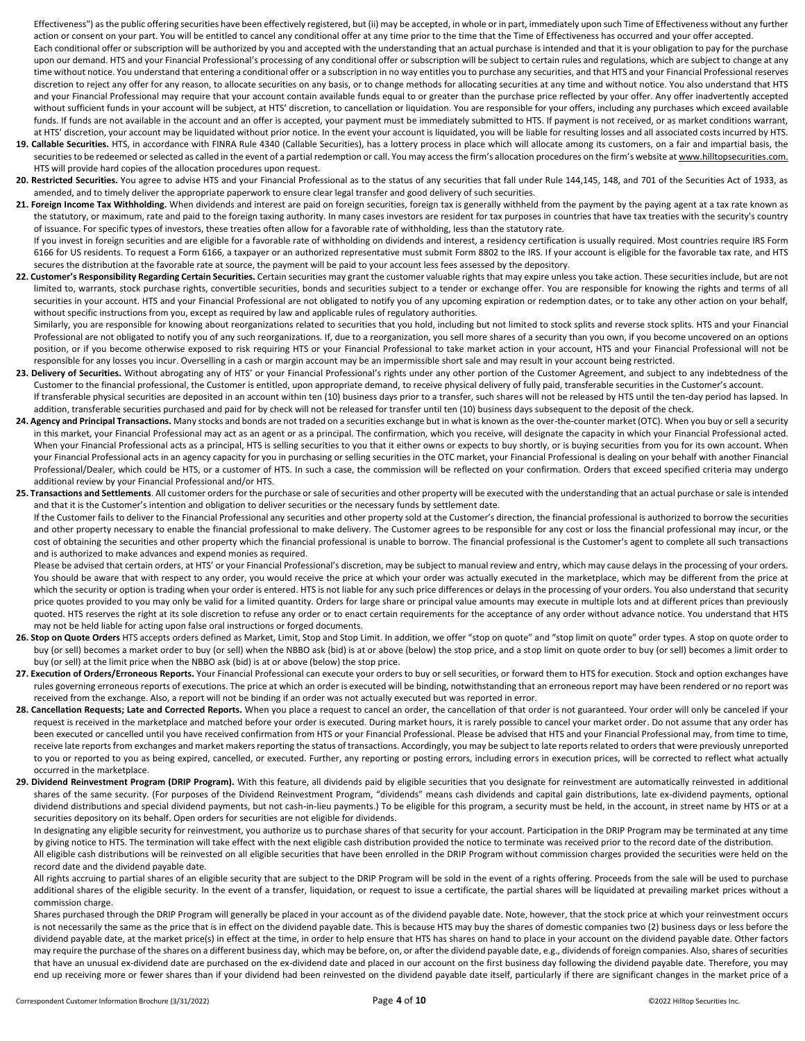Effectiveness") as the public offering securities have been effectively registered, but (ii) may be accepted, in whole or in part, immediately upon such Time of Effectiveness without any further action or consent on your part. You will be entitled to cancel any conditional offer at any time prior to the time that the Time of Effectiveness has occurred and your offer accepted.

Each conditional offer or subscription will be authorized by you and accepted with the understanding that an actual purchase is intended and that it is your obligation to pay for the purchase upon our demand. HTS and your Financial Professional's processing of any conditional offer or subscription will be subject to certain rules and regulations, which are subject to change at any time without notice. You understand that entering a conditional offer or a subscription in no way entitles you to purchase any securities, and that HTS and your Financial Professional reserves discretion to reject any offer for any reason, to allocate securities on any basis, or to change methods for allocating securities at any time and without notice. You also understand that HTS and your Financial Professional may require that your account contain available funds equal to or greater than the purchase price reflected by your offer. Any offer inadvertently accepted without sufficient funds in your account will be subject, at HTS' discretion, to cancellation or liquidation. You are responsible for your offers, including any purchases which exceed available funds. If funds are not available in the account and an offer is accepted, your payment must be immediately submitted to HTS. If payment is not received, or as market conditions warrant, at HTS' discretion, your account may be liquidated without prior notice. In the event your account is liquidated, you will be liable for resulting losses and all associated costs incurred by HTS.

- **19. Callable Securities.** HTS, in accordance with FINRA Rule 4340 (Callable Securities), has a lottery process in place which will allocate among its customers, on a fair and impartial basis, the securities to be redeemed or selected as called in the event of a partial redemption or call. You may access the firm's allocation procedures on the firm's website at www.hilltopsecurities.com. HTS will provide hard copies of the allocation procedures upon request.
- 20. Restricted Securities. You agree to advise HTS and your Financial Professional as to the status of any securities that fall under Rule 144,145, 148, and 701 of the Securities Act of 1933, as amended, and to timely deliver the appropriate paperwork to ensure clear legal transfer and good delivery of such securities.
- 21. Foreign Income Tax Withholding. When dividends and interest are paid on foreign securities, foreign tax is generally withheld from the payment by the paying agent at a tax rate known as the statutory, or maximum, rate and paid to the foreign taxing authority. In many cases investors are resident for tax purposes in countries that have tax treaties with the security's country of issuance. For specific types of investors, these treaties often allow for a favorable rate of withholding, less than the statutory rate.

If you invest in foreign securities and are eligible for a favorable rate of withholding on dividends and interest, a residency certification is usually required. Most countries require IRS Form 6166 for US residents. To request a Form 6166, a taxpayer or an authorized representative must submit Form 8802 to the IRS. If your account is eligible for the favorable tax rate, and HTS secures the distribution at the favorable rate at source, the payment will be paid to your account less fees assessed by the depository.

22. Customer's Responsibility Regarding Certain Securities. Certain securities may grant the customer valuable rights that may expire unless you take action. These securities include, but are not limited to, warrants, stock purchase rights, convertible securities, bonds and securities subject to a tender or exchange offer. You are responsible for knowing the rights and terms of all securities in your account. HTS and your Financial Professional are not obligated to notify you of any upcoming expiration or redemption dates, or to take any other action on your behalf, without specific instructions from you, except as required by law and applicable rules of regulatory authorities.

 Similarly, you are responsible for knowing about reorganizations related to securities that you hold, including but not limited to stock splits and reverse stock splits. HTS and your Financial Professional are not obligated to notify you of any such reorganizations. If, due to a reorganization, you sell more shares of a security than you own, if you become uncovered on an options position, or if you become otherwise exposed to risk requiring HTS or your Financial Professional to take market action in your account, HTS and your Financial Professional will not be responsible for any losses you incur. Overselling in a cash or margin account may be an impermissible short sale and may result in your account being restricted.

- 23. Delivery of Securities. Without abrogating any of HTS' or your Financial Professional's rights under any other portion of the Customer Agreement, and subject to any indebtedness of the Customer to the financial professional, the Customer is entitled, upon appropriate demand, to receive physical delivery of fully paid, transferable securities in the Customer's account. If transferable physical securities are deposited in an account within ten (10) business days prior to a transfer, such shares will not be released by HTS until the ten-day period has lapsed. In
- addition, transferable securities purchased and paid for by check will not be released for transfer until ten (10) business days subsequent to the deposit of the check.
- **24. Agency and Principal Transactions.** Many stocks and bonds are not traded on a securities exchange but in what is known as the over-the-counter market (OTC). When you buy or sell a security in this market, your Financial Professional may act as an agent or as a principal. The confirmation, which you receive, will designate the capacity in which your Financial Professional acted. When your Financial Professional acts as a principal, HTS is selling securities to you that it either owns or expects to buy shortly, or is buying securities from you for its own account. When your Financial Professional acts in an agency capacity for you in purchasing or selling securities in the OTC market, your Financial Professional is dealing on your behalf with another Financial Professional/Dealer, which could be HTS, or a customer of HTS. In such a case, the commission will be reflected on your confirmation. Orders that exceed specified criteria may undergo additional review by your Financial Professional and/or HTS.
- **25. Transactions and Settlements**. All customer orders for the purchase or sale of securities and other property will be executed with the understanding that an actual purchase or sale is intended and that it is the Customer's intention and obligation to deliver securities or the necessary funds by settlement date.

 If the Customer fails to deliver to the Financial Professional any securities and other property sold at the Customer's direction, the financial professional is authorized to borrow the securities and other property necessary to enable the financial professional to make delivery. The Customer agrees to be responsible for any cost or loss the financial professional may incur, or the cost of obtaining the securities and other property which the financial professional is unable to borrow. The financial professional is the Customer's agent to complete all such transactions and is authorized to make advances and expend monies as required.

Please be advised that certain orders, at HTS' or your Financial Professional's discretion, may be subject to manual review and entry, which may cause delays in the processing of your orders. You should be aware that with respect to any order, you would receive the price at which your order was actually executed in the marketplace, which may be different from the price at which the security or option is trading when your order is entered. HTS is not liable for any such price differences or delays in the processing of your orders. You also understand that security price quotes provided to you may only be valid for a limited quantity. Orders for large share or principal value amounts may execute in multiple lots and at different prices than previously quoted. HTS reserves the right at its sole discretion to refuse any order or to enact certain requirements for the acceptance of any order without advance notice. You understand that HTS may not be held liable for acting upon false oral instructions or forged documents.

- 26. Stop on Quote Orders HTS accepts orders defined as Market, Limit, Stop and Stop Limit. In addition, we offer "stop on quote" and "stop limit on quote" order types. A stop on quote order to buy (or sell) becomes a market order to buy (or sell) when the NBBO ask (bid) is at or above (below) the stop price, and a stop limit on quote order to buy (or sell) becomes a limit order to buy (or sell) at the limit price when the NBBO ask (bid) is at or above (below) the stop price.
- 27. Execution of Orders/Erroneous Reports. Your Financial Professional can execute your orders to buy or sell securities, or forward them to HTS for execution. Stock and option exchanges have rules governing erroneous reports of executions. The price at which an order is executed will be binding, notwithstanding that an erroneous report may have been rendered or no report was received from the exchange. Also, a report will not be binding if an order was not actually executed but was reported in error.
- 28. Cancellation Requests; Late and Corrected Reports. When you place a request to cancel an order, the cancellation of that order is not guaranteed. Your order will only be canceled if your request is received in the marketplace and matched before your order is executed. During market hours, it is rarely possible to cancel your market order. Do not assume that any order has been executed or cancelled until you have received confirmation from HTS or your Financial Professional. Please be advised that HTS and your Financial Professional may, from time to time, receive late reports from exchanges and market makers reporting the status of transactions. Accordingly, you may be subject to late reports related to orders that were previously unreported to you or reported to you as being expired, cancelled, or executed. Further, any reporting or posting errors, including errors in execution prices, will be corrected to reflect what actually occurred in the marketplace.
- 29. Dividend Reinvestment Program (DRIP Program). With this feature, all dividends paid by eligible securities that you designate for reinvestment are automatically reinvested in additional shares of the same security. (For purposes of the Dividend Reinvestment Program, "dividends" means cash dividends and capital gain distributions, late ex-dividend payments, optional dividend distributions and special dividend payments, but not cash-in-lieu payments.) To be eligible for this program, a security must be held, in the account, in street name by HTS or at a securities depository on its behalf. Open orders for securities are not eligible for dividends.

 In designating any eligible security for reinvestment, you authorize us to purchase shares of that security for your account. Participation in the DRIP Program may be terminated at any time by giving notice to HTS. The termination will take effect with the next eligible cash distribution provided the notice to terminate was received prior to the record date of the distribution. All eligible cash distributions will be reinvested on all eligible securities that have been enrolled in the DRIP Program without commission charges provided the securities were held on the record date and the dividend payable date.

All rights accruing to partial shares of an eligible security that are subject to the DRIP Program will be sold in the event of a rights offering. Proceeds from the sale will be used to purchase additional shares of the eligible security. In the event of a transfer, liquidation, or request to issue a certificate, the partial shares will be liquidated at prevailing market prices without a commission charge.

 Shares purchased through the DRIP Program will generally be placed in your account as of the dividend payable date. Note, however, that the stock price at which your reinvestment occurs is not necessarily the same as the price that is in effect on the dividend payable date. This is because HTS may buy the shares of domestic companies two (2) business days or less before the dividend payable date, at the market price(s) in effect at the time, in order to help ensure that HTS has shares on hand to place in your account on the dividend payable date. Other factors may require the purchase of the shares on a different business day, which may be before, on, or after the dividend payable date, e.g., dividends of foreign companies. Also, shares of securities that have an unusual ex-dividend date are purchased on the ex-dividend date and placed in our account on the first business day following the dividend payable date. Therefore, you may end up receiving more or fewer shares than if your dividend had been reinvested on the dividend payable date itself, particularly if there are significant changes in the market price of a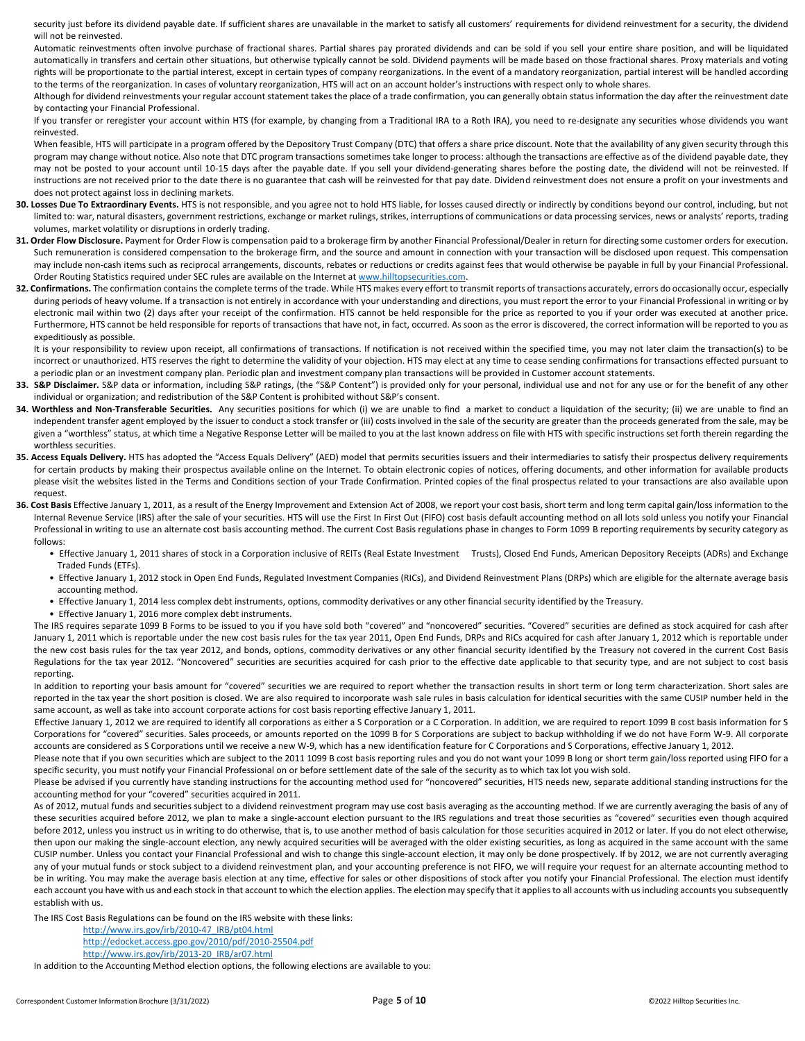security just before its dividend payable date. If sufficient shares are unavailable in the market to satisfy all customers' requirements for dividend reinvestment for a security, the dividend will not be reinvested.

 Automatic reinvestments often involve purchase of fractional shares. Partial shares pay prorated dividends and can be sold if you sell your entire share position, and will be liquidated automatically in transfers and certain other situations, but otherwise typically cannot be sold. Dividend payments will be made based on those fractional shares. Proxy materials and voting rights will be proportionate to the partial interest, except in certain types of company reorganizations. In the event of a mandatory reorganization, partial interest will be handled according to the terms of the reorganization. In cases of voluntary reorganization, HTS will act on an account holder's instructions with respect only to whole shares.

 Although for dividend reinvestments your regular account statement takes the place of a trade confirmation, you can generally obtain status information the day after the reinvestment date by contacting your Financial Professional.

 If you transfer or reregister your account within HTS (for example, by changing from a Traditional IRA to a Roth IRA), you need to re-designate any securities whose dividends you want reinvested.

When feasible, HTS will participate in a program offered by the Depository Trust Company (DTC) that offers a share price discount. Note that the availability of any given security through this program may change without notice. Also note that DTC program transactions sometimes take longer to process: although the transactions are effective as of the dividend payable date, they may not be posted to your account until 10-15 days after the payable date. If you sell your dividend-generating shares before the posting date, the dividend will not be reinvested. If instructions are not received prior to the date there is no guarantee that cash will be reinvested for that pay date. Dividend reinvestment does not ensure a profit on your investments and does not protect against loss in declining markets.

- **30. Losses Due To Extraordinary Events.** HTS is not responsible, and you agree not to hold HTS liable, for losses caused directly or indirectly by conditions beyond our control, including, but not limited to: war, natural disasters, government restrictions, exchange or market rulings, strikes, interruptions of communications or data processing services, news or analysts' reports, trading volumes, market volatility or disruptions in orderly trading.
- **31. Order Flow Disclosure.** Payment for Order Flow is compensation paid to a brokerage firm by another Financial Professional/Dealer in return for directing some customer orders for execution. Such remuneration is considered compensation to the brokerage firm, and the source and amount in connection with your transaction will be disclosed upon request. This compensation may include non-cash items such as reciprocal arrangements, discounts, rebates or reductions or credits against fees that would otherwise be payable in full by your Financial Professional. Order Routing Statistics required under SEC rules are available on the Internet a[t www.hilltopsecurities.com.](http://www.hilltopsecurities.com/)
- 32. Confirmations. The confirmation contains the complete terms of the trade. While HTS makes every effort to transmit reports of transactions accurately, errors do occasionally occur, especially during periods of heavy volume. If a transaction is not entirely in accordance with your understanding and directions, you must report the error to your Financial Professional in writing or by electronic mail within two (2) days after your receipt of the confirmation. HTS cannot be held responsible for the price as reported to you if your order was executed at another price. Furthermore, HTS cannot be held responsible for reports of transactions that have not, in fact, occurred. As soon as the error is discovered, the correct information will be reported to you as expeditiously as possible.

It is your responsibility to review upon receipt, all confirmations of transactions. If notification is not received within the specified time, you may not later claim the transaction(s) to be incorrect or unauthorized. HTS reserves the right to determine the validity of your objection. HTS may elect at any time to cease sending confirmations for transactions effected pursuant to a periodic plan or an investment company plan. Periodic plan and investment company plan transactions will be provided in Customer account statements.

- 33. S&P Disclaimer. S&P data or information, including S&P ratings, (the "S&P Content") is provided only for your personal, individual use and not for any use or for the benefit of any other individual or organization; and redistribution of the S&P Content is prohibited without S&P's consent.
- 34. Worthless and Non-Transferable Securities. Any securities positions for which (i) we are unable to find a market to conduct a liquidation of the security; (ii) we are unable to find an independent transfer agent employed by the issuer to conduct a stock transfer or (iii) costs involved in the sale of the security are greater than the proceeds generated from the sale, may be given a "worthless" status, at which time a Negative Response Letter will be mailed to you at the last known address on file with HTS with specific instructions set forth therein regarding the worthless securities.
- 35. Access Equals Delivery. HTS has adopted the "Access Equals Delivery" (AED) model that permits securities issuers and their intermediaries to satisfy their prospectus delivery requirements for certain products by making their prospectus available online on the Internet. To obtain electronic copies of notices, offering documents, and other information for available products please visit the websites listed in the Terms and Conditions section of your Trade Confirmation. Printed copies of the final prospectus related to your transactions are also available upon request.
- **36. Cost Basis** Effective January 1, 2011, as a result of the Energy Improvement and Extension Act of 2008, we report your cost basis, short term and long term capital gain/loss information to the Internal Revenue Service (IRS) after the sale of your securities. HTS will use the First In First Out (FIFO) cost basis default accounting method on all lots sold unless you notify your Financial Professional in writing to use an alternate cost basis accounting method. The current Cost Basis regulations phase in changes to Form 1099 B reporting requirements by security category as follows:
	- Effective January 1, 2011 shares of stock in a Corporation inclusive of REITs (Real Estate Investment Trusts), Closed End Funds, American Depository Receipts (ADRs) and Exchange Traded Funds (ETFs).
	- Effective January 1, 2012 stock in Open End Funds, Regulated Investment Companies (RICs), and Dividend Reinvestment Plans (DRPs) which are eligible for the alternate average basis accounting method.
	- Effective January 1, 2014 less complex debt instruments, options, commodity derivatives or any other financial security identified by the Treasury.
	- Effective January 1, 2016 more complex debt instruments.

The IRS requires separate 1099 B Forms to be issued to you if you have sold both "covered" and "noncovered" securities. "Covered" securities are defined as stock acquired for cash after January 1, 2011 which is reportable under the new cost basis rules for the tax year 2011, Open End Funds, DRPs and RICs acquired for cash after January 1, 2012 which is reportable under the new cost basis rules for the tax year 2012, and bonds, options, commodity derivatives or any other financial security identified by the Treasury not covered in the current Cost Basis Regulations for the tax year 2012. "Noncovered" securities are securities acquired for cash prior to the effective date applicable to that security type, and are not subject to cost basis reporting.

In addition to reporting your basis amount for "covered" securities we are required to report whether the transaction results in short term or long term characterization. Short sales are reported in the tax year the short position is closed. We are also required to incorporate wash sale rules in basis calculation for identical securities with the same CUSIP number held in the same account, as well as take into account corporate actions for cost basis reporting effective January 1, 2011.

 Effective January 1, 2012 we are required to identify all corporations as either a S Corporation or a C Corporation. In addition, we are required to report 1099 B cost basis information for S Corporations for "covered" securities. Sales proceeds, or amounts reported on the 1099 B for S Corporations are subject to backup withholding if we do not have Form W-9. All corporate accounts are considered as S Corporations until we receive a new W-9, which has a new identification feature for C Corporations and S Corporations, effective January 1, 2012.

Please note that if you own securities which are subject to the 2011 1099 B cost basis reporting rules and you do not want your 1099 B long or short term gain/loss reported using FIFO for a specific security, you must notify your Financial Professional on or before settlement date of the sale of the security as to which tax lot you wish sold.

Please be advised if you currently have standing instructions for the accounting method used for "noncovered" securities, HTS needs new, separate additional standing instructions for the accounting method for your "covered" securities acquired in 2011.

As of 2012, mutual funds and securities subject to a dividend reinvestment program may use cost basis averaging as the accounting method. If we are currently averaging the basis of any of these securities acquired before 2012, we plan to make a single-account election pursuant to the IRS regulations and treat those securities as "covered" securities even though acquired before 2012, unless you instruct us in writing to do otherwise, that is, to use another method of basis calculation for those securities acquired in 2012 or later. If you do not elect otherwise, then upon our making the single-account election, any newly acquired securities will be averaged with the older existing securities, as long as acquired in the same account with the same CUSIP number. Unless you contact your Financial Professional and wish to change this single-account election, it may only be done prospectively. If by 2012, we are not currently averaging any of your mutual funds or stock subject to a dividend reinvestment plan, and your accounting preference is not FIFO, we will require your request for an alternate accounting method to be in writing. You may make the average basis election at any time, effective for sales or other dispositions of stock after you notify your Financial Professional. The election must identify each account you have with us and each stock in that account to which the election applies. The election may specify that it applies to all accounts with us including accounts you subsequently establish with us.

The IRS Cost Basis Regulations can be found on the IRS website with these links:

- [http://www.irs.gov/irb/2010-47\\_IRB/pt04.html](http://www.irs.gov/irb/2010-47_IRB/pt04.html)
- <http://edocket.access.gpo.gov/2010/pdf/2010-25504.pdf>
- [http://www.irs.gov/irb/2013-20\\_IRB/ar07.html](http://www.irs.gov/irb/2013-20_IRB/ar07.html)

In addition to the Accounting Method election options, the following elections are available to you: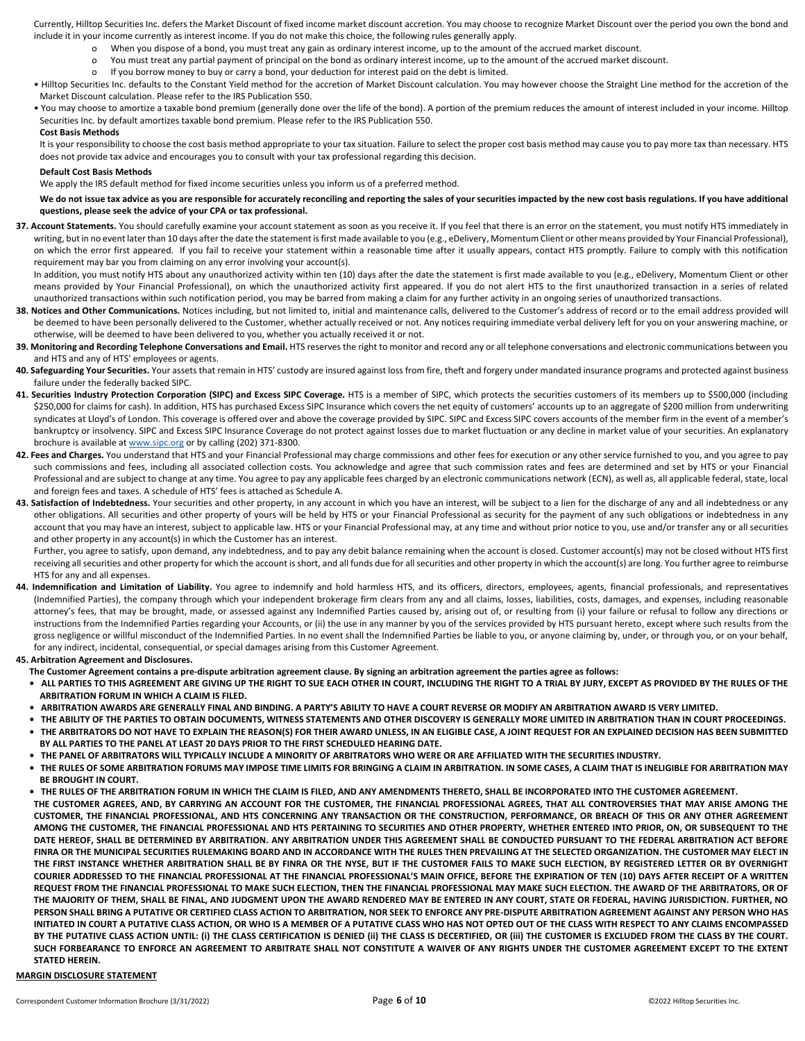Currently, Hilltop Securities Inc. defers the Market Discount of fixed income market discount accretion. You may choose to recognize Market Discount over the period you own the bond and include it in your income currently as interest income. If you do not make this choice, the following rules generally apply.

- When you dispose of a bond, you must treat any gain as ordinary interest income, up to the amount of the accrued market discount.
- o You must treat any partial payment of principal on the bond as ordinary interest income, up to the amount of the accrued market discount.
- o If you borrow money to buy or carry a bond, your deduction for interest paid on the debt is limited.
- Hilltop Securities Inc. defaults to the Constant Yield method for the accretion of Market Discount calculation. You may however choose the Straight Line method for the accretion of the Market Discount calculation. Please refer to the IRS Publication 550.
- You may choose to amortize a taxable bond premium (generally done over the life of the bond). A portion of the premium reduces the amount of interest included in your income. Hilltop Securities Inc. by default amortizes taxable bond premium. Please refer to the IRS Publication 550.

#### **Cost Basis Methods**

It is your responsibility to choose the cost basis method appropriate to your tax situation. Failure to select the proper cost basis method may cause you to pay more tax than necessary. HTS does not provide tax advice and encourages you to consult with your tax professional regarding this decision.

#### **Default Cost Basis Methods**

We apply the IRS default method for fixed income securities unless you inform us of a preferred method.

#### We do not issue tax advice as you are responsible for accurately reconciling and reporting the sales of your securities impacted by the new cost basis regulations. If you have additional **questions, please seek the advice of your CPA or tax professional.**

**37. Account Statements.** You should carefully examine your account statement as soon as you receive it. If you feel that there is an error on the statement, you must notify HTS immediately in writing, but in no event later than 10 days after the date the statement is first made available to you (e.g., eDelivery, Momentum Client or other means provided by Your Financial Professional), on which the error first appeared. If you fail to receive your statement within a reasonable time after it usually appears, contact HTS promptly. Failure to comply with this notification requirement may bar you from claiming on any error involving your account(s).

In addition, you must notify HTS about any unauthorized activity within ten (10) days after the date the statement is first made available to you (e.g., eDelivery, Momentum Client or other means provided by Your Financial Professional), on which the unauthorized activity first appeared. If you do not alert HTS to the first unauthorized transaction in a series of related unauthorized transactions within such notification period, you may be barred from making a claim for any further activity in an ongoing series of unauthorized transactions.

- 38. Notices and Other Communications. Notices including, but not limited to, initial and maintenance calls, delivered to the Customer's address of record or to the email address provided will be deemed to have been personally delivered to the Customer, whether actually received or not. Any notices requiring immediate verbal delivery left for you on your answering machine, or otherwise, will be deemed to have been delivered to you, whether you actually received it or not.
- 39. Monitoring and Recording Telephone Conversations and Email. HTS reserves the right to monitor and record any or all telephone conversations and electronic communications between you and HTS and any of HTS' employees or agents.
- 40. Safeguarding Your Securities. Your assets that remain in HTS' custody are insured against loss from fire, theft and forgery under mandated insurance programs and protected against business failure under the federally backed SIPC.
- **41. Securities Industry Protection Corporation (SIPC) and Excess SIPC Coverage.** HTS is a member of SIPC, which protects the securities customers of its members up to \$500,000 (including \$250,000 for claims for cash). In addition, HTS has purchased Excess SIPC Insurance which covers the net equity of customers' accounts up to an aggregate of \$200 million from underwriting syndicates at Lloyd's of London. This coverage is offered over and above the coverage provided by SIPC. SIPC and Excess SIPC covers accounts of the member firm in the event of a member's bankruptcy or insolvency. SIPC and Excess SIPC Insurance Coverage do not protect against losses due to market fluctuation or any decline in market value of your securities. An explanatory brochure is available a[t www.sipc.org](http://www.sipc.org/) or by calling (202) 371-8300.
- 42. Fees and Charges. You understand that HTS and your Financial Professional may charge commissions and other fees for execution or any other service furnished to you, and you agree to pay such commissions and fees, including all associated collection costs. You acknowledge and agree that such commission rates and fees are determined and set by HTS or your Financial Professional and are subject to change at any time. You agree to pay any applicable fees charged by an electronic communications network (ECN), as well as, all applicable federal, state, local and foreign fees and taxes. A schedule of HTS' fees is attached as Schedule A.
- 43. Satisfaction of Indebtedness. Your securities and other property, in any account in which you have an interest, will be subject to a lien for the discharge of any and all indebtedness or any other obligations. All securities and other property of yours will be held by HTS or your Financial Professional as security for the payment of any such obligations or indebtedness in any account that you may have an interest, subject to applicable law. HTS or your Financial Professional may, at any time and without prior notice to you, use and/or transfer any or all securities and other property in any account(s) in which the Customer has an interest.

Further, you agree to satisfy, upon demand, any indebtedness, and to pay any debit balance remaining when the account is closed. Customer account(s) may not be closed without HTS first receiving all securities and other property for which the account is short, and all funds due for all securities and other property in which the account(s) are long. You further agree to reimburse HTS for any and all expenses.

44. Indemnification and Limitation of Liability. You agree to indemnify and hold harmless HTS, and its officers, directors, employees, agents, financial professionals, and representatives (Indemnified Parties), the company through which your independent brokerage firm clears from any and all claims, losses, liabilities, costs, damages, and expenses, including reasonable attorney's fees, that may be brought, made, or assessed against any Indemnified Parties caused by, arising out of, or resulting from (i) your failure or refusal to follow any directions or instructions from the Indemnified Parties regarding your Accounts, or (ii) the use in any manner by you of the services provided by HTS pursuant hereto, except where such results from the gross negligence or willful misconduct of the Indemnified Parties. In no event shall the Indemnified Parties be liable to you, or anyone claiming by, under, or through you, or on your behalf, for any indirect, incidental, consequential, or special damages arising from this Customer Agreement.

## **45. Arbitration Agreement and Disclosures.**

- **The Customer Agreement contains a pre-dispute arbitration agreement clause. By signing an arbitration agreement the parties agree as follows:**
- **ALL PARTIES TO THIS AGREEMENT ARE GIVING UP THE RIGHT TO SUE EACH OTHER IN COURT, INCLUDING THE RIGHT TO A TRIAL BY JURY, EXCEPT AS PROVIDED BY THE RULES OF THE ARBITRATION FORUM IN WHICH A CLAIM IS FILED.**
- **ARBITRATION AWARDS ARE GENERALLY FINAL AND BINDING. A PARTY'S ABILITY TO HAVE A COURT REVERSE OR MODIFY AN ARBITRATION AWARD IS VERY LIMITED.**
- **THE ABILITY OF THE PARTIES TO OBTAIN DOCUMENTS, WITNESS STATEMENTS AND OTHER DISCOVERY IS GENERALLY MORE LIMITED IN ARBITRATION THAN IN COURT PROCEEDINGS. • THE ARBITRATORS DO NOT HAVE TO EXPLAIN THE REASON(S) FOR THEIR AWARD UNLESS, IN AN ELIGIBLE CASE, A JOINT REQUEST FOR AN EXPLAINED DECISION HAS BEEN SUBMITTED BY ALL PARTIES TO THE PANEL AT LEAST 20 DAYS PRIOR TO THE FIRST SCHEDULED HEARING DATE.**
- **THE PANEL OF ARBITRATORS WILL TYPICALLY INCLUDE A MINORITY OF ARBITRATORS WHO WERE OR ARE AFFILIATED WITH THE SECURITIES INDUSTRY.**
- **THE RULES OF SOME ARBITRATION FORUMS MAY IMPOSE TIME LIMITS FOR BRINGING A CLAIM IN ARBITRATION. IN SOME CASES, A CLAIM THAT IS INELIGIBLE FOR ARBITRATION MAY BE BROUGHT IN COURT.**
- **THE RULES OF THE ARBITRATION FORUM IN WHICH THE CLAIM IS FILED, AND ANY AMENDMENTS THERETO, SHALL BE INCORPORATED INTO THE CUSTOMER AGREEMENT. THE CUSTOMER AGREES, AND, BY CARRYING AN ACCOUNT FOR THE CUSTOMER, THE FINANCIAL PROFESSIONAL AGREES, THAT ALL CONTROVERSIES THAT MAY ARISE AMONG THE CUSTOMER, THE FINANCIAL PROFESSIONAL, AND HTS CONCERNING ANY TRANSACTION OR THE CONSTRUCTION, PERFORMANCE, OR BREACH OF THIS OR ANY OTHER AGREEMENT AMONG THE CUSTOMER, THE FINANCIAL PROFESSIONAL AND HTS PERTAINING TO SECURITIES AND OTHER PROPERTY, WHETHER ENTERED INTO PRIOR, ON, OR SUBSEQUENT TO THE DATE HEREOF, SHALL BE DETERMINED BY ARBITRATION. ANY ARBITRATION UNDER THIS AGREEMENT SHALL BE CONDUCTED PURSUANT TO THE FEDERAL ARBITRATION ACT BEFORE FINRA OR THE MUNICIPAL SECURITIES RULEMAKING BOARD AND IN ACCORDANCE WITH THE RULES THEN PREVAILING AT THE SELECTED ORGANIZATION. THE CUSTOMER MAY ELECT IN THE FIRST INSTANCE WHETHER ARBITRATION SHALL BE BY FINRA OR THE NYSE, BUT IF THE CUSTOMER FAILS TO MAKE SUCH ELECTION, BY REGISTERED LETTER OR BY OVERNIGHT COURIER ADDRESSED TO THE FINANCIAL PROFESSIONAL AT THE FINANCIAL PROFESSIONAL'S MAIN OFFICE, BEFORE THE EXPIRATION OF TEN (10) DAYS AFTER RECEIPT OF A WRITTEN REQUEST FROM THE FINANCIAL PROFESSIONAL TO MAKE SUCH ELECTION, THEN THE FINANCIAL PROFESSIONAL MAY MAKE SUCH ELECTION. THE AWARD OF THE ARBITRATORS, OR OF THE MAJORITY OF THEM, SHALL BE FINAL, AND JUDGMENT UPON THE AWARD RENDERED MAY BE ENTERED IN ANY COURT, STATE OR FEDERAL, HAVING JURISDICTION. FURTHER, NO PERSON SHALL BRING A PUTATIVE OR CERTIFIED CLASS ACTION TO ARBITRATION, NOR SEEK TO ENFORCE ANY PRE-DISPUTE ARBITRATION AGREEMENT AGAINST ANY PERSON WHO HAS INITIATED IN COURT A PUTATIVE CLASS ACTION, OR WHO IS A MEMBER OF A PUTATIVE CLASS WHO HAS NOT OPTED OUT OF THE CLASS WITH RESPECT TO ANY CLAIMS ENCOMPASSED**  BY THE PUTATIVE CLASS ACTION UNTIL: (i) THE CLASS CERTIFICATION IS DENIED (ii) THE CLASS IS DECERTIFIED, OR (iii) THE CUSTOMER IS EXCLUDED FROM THE CLASS BY THE COURT. **SUCH FORBEARANCE TO ENFORCE AN AGREEMENT TO ARBITRATE SHALL NOT CONSTITUTE A WAIVER OF ANY RIGHTS UNDER THE CUSTOMER AGREEMENT EXCEPT TO THE EXTENT STATED HEREIN.**

## **MARGIN DISCLOSURE STATEMENT**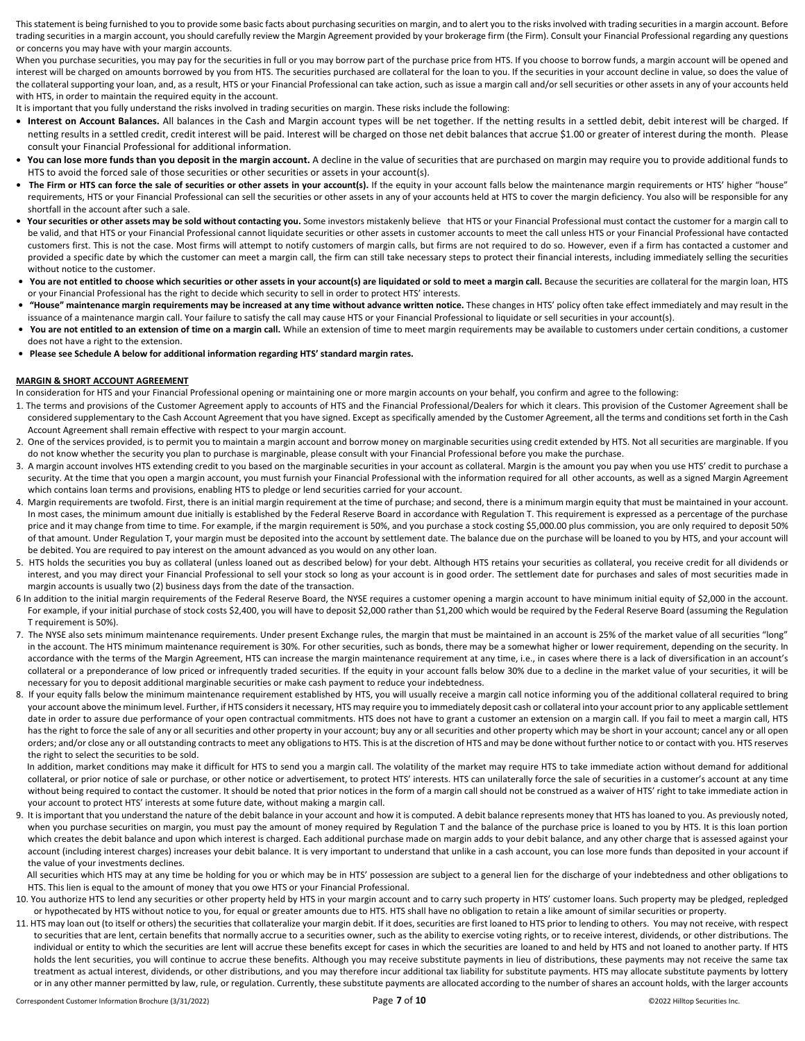This statement is being furnished to you to provide some basic facts about purchasing securities on margin, and to alert you to the risks involved with trading securities in a margin account. Before trading securities in a margin account, you should carefully review the Margin Agreement provided by your brokerage firm (the Firm). Consult your Financial Professional regarding any questions or concerns you may have with your margin accounts.

When you purchase securities, you may pay for the securities in full or you may borrow part of the purchase price from HTS. If you choose to borrow funds, a margin account will be opened and interest will be charged on amounts borrowed by you from HTS. The securities purchased are collateral for the loan to you. If the securities in your account decline in value, so does the value of the collateral supporting your loan, and, as a result, HTS or your Financial Professional can take action, such as issue a margin call and/or sell securities or other assets in any of your accounts held with HTS, in order to maintain the required equity in the account.

It is important that you fully understand the risks involved in trading securities on margin. These risks include the following:

- **Interest on Account Balances.** All balances in the Cash and Margin account types will be net together. If the netting results in a settled debit, debit interest will be charged. If netting results in a settled credit, credit interest will be paid. Interest will be charged on those net debit balances that accrue \$1.00 or greater of interest during the month. Please consult your Financial Professional for additional information.
- You can lose more funds than you deposit in the margin account. A decline in the value of securities that are purchased on margin may require you to provide additional funds to HTS to avoid the forced sale of those securities or other securities or assets in your account(s).
- The Firm or HTS can force the sale of securities or other assets in your account(s). If the equity in your account falls below the maintenance margin requirements or HTS' higher "house" requirements, HTS or your Financial Professional can sell the securities or other assets in any of your accounts held at HTS to cover the margin deficiency. You also will be responsible for any shortfall in the account after such a sale.
- Your securities or other assets may be sold without contacting you. Some investors mistakenly believe that HTS or your Financial Professional must contact the customer for a margin call to be valid, and that HTS or your Financial Professional cannot liquidate securities or other assets in customer accounts to meet the call unless HTS or your Financial Professional have contacted customers first. This is not the case. Most firms will attempt to notify customers of margin calls, but firms are not required to do so. However, even if a firm has contacted a customer and provided a specific date by which the customer can meet a margin call, the firm can still take necessary steps to protect their financial interests, including immediately selling the securities without notice to the customer.
- **You are not entitled to choose which securities or other assets in your account(s) are liquidated or sold to meet a margin call.** Because the securities are collateral for the margin loan, HTS or your Financial Professional has the right to decide which security to sell in order to protect HTS' interests.
- **"House" maintenance margin requirements may be increased at any time without advance written notice.** These changes in HTS' policy often take effect immediately and may result in the issuance of a maintenance margin call. Your failure to satisfy the call may cause HTS or your Financial Professional to liquidate or sell securities in your account(s).
- **You are not entitled to an extension of time on a margin call.** While an extension of time to meet margin requirements may be available to customers under certain conditions, a customer does not have a right to the extension.
- **Please see Schedule A below for additional information regarding HTS' standard margin rates.**

#### **MARGIN & SHORT ACCOUNT AGREEMENT**

In consideration for HTS and your Financial Professional opening or maintaining one or more margin accounts on your behalf, you confirm and agree to the following:

- 1. The terms and provisions of the Customer Agreement apply to accounts of HTS and the Financial Professional/Dealers for which it clears. This provision of the Customer Agreement shall be considered supplementary to the Cash Account Agreement that you have signed. Except as specifically amended by the Customer Agreement, all the terms and conditions set forth in the Cash Account Agreement shall remain effective with respect to your margin account.
- 2. One of the services provided, is to permit you to maintain a margin account and borrow money on marginable securities using credit extended by HTS. Not all securities are marginable. If you do not know whether the security you plan to purchase is marginable, please consult with your Financial Professional before you make the purchase.
- 3. A margin account involves HTS extending credit to you based on the marginable securities in your account as collateral. Margin is the amount you pay when you use HTS' credit to purchase a security. At the time that you open a margin account, you must furnish your Financial Professional with the information required for all other accounts, as well as a signed Margin Agreement which contains loan terms and provisions, enabling HTS to pledge or lend securities carried for your account.
- 4. Margin requirements are twofold. First, there is an initial margin requirement at the time of purchase; and second, there is a minimum margin equity that must be maintained in your account. In most cases, the minimum amount due initially is established by the Federal Reserve Board in accordance with Regulation T. This requirement is expressed as a percentage of the purchase price and it may change from time to time. For example, if the margin requirement is 50%, and you purchase a stock costing \$5,000.00 plus commission, you are only required to deposit 50% of that amount. Under Regulation T, your margin must be deposited into the account by settlement date. The balance due on the purchase will be loaned to you by HTS, and your account will be debited. You are required to pay interest on the amount advanced as you would on any other loan.
- 5. HTS holds the securities you buy as collateral (unless loaned out as described below) for your debt. Although HTS retains your securities as collateral, you receive credit for all dividends or interest, and you may direct your Financial Professional to sell your stock so long as your account is in good order. The settlement date for purchases and sales of most securities made in margin accounts is usually two (2) business days from the date of the transaction.
- 6 In addition to the initial margin requirements of the Federal Reserve Board, the NYSE requires a customer opening a margin account to have minimum initial equity of \$2,000 in the account. For example, if your initial purchase of stock costs \$2,400, you will have to deposit \$2,000 rather than \$1,200 which would be required by the Federal Reserve Board (assuming the Regulation T requirement is 50%).
- 7. The NYSE also sets minimum maintenance requirements. Under present Exchange rules, the margin that must be maintained in an account is 25% of the market value of all securities "long" in the account. The HTS minimum maintenance requirement is 30%. For other securities, such as bonds, there may be a somewhat higher or lower requirement, depending on the security. In accordance with the terms of the Margin Agreement, HTS can increase the margin maintenance requirement at any time, i.e., in cases where there is a lack of diversification in an account's collateral or a preponderance of low priced or infrequently traded securities. If the equity in your account falls below 30% due to a decline in the market value of your securities, it will be necessary for you to deposit additional marginable securities or make cash payment to reduce your indebtedness.
- 8. If your equity falls below the minimum maintenance requirement established by HTS, you will usually receive a margin call notice informing you of the additional collateral required to bring your account above the minimum level. Further, if HTS considers it necessary, HTS may require you to immediately deposit cash or collateral into your account prior to any applicable settlement date in order to assure due performance of your open contractual commitments. HTS does not have to grant a customer an extension on a margin call. If you fail to meet a margin call, HTS has the right to force the sale of any or all securities and other property in your account; buy any or all securities and other property which may be short in your account; cancel any or all open orders; and/or close any or all outstanding contracts to meet any obligations to HTS. This is at the discretion of HTS and may be done without further notice to or contact with you. HTS reserves the right to select the securities to be sold.

In addition, market conditions may make it difficult for HTS to send you a margin call. The volatility of the market may require HTS to take immediate action without demand for additional collateral, or prior notice of sale or purchase, or other notice or advertisement, to protect HTS' interests. HTS can unilaterally force the sale of securities in a customer's account at any time without being required to contact the customer. It should be noted that prior notices in the form of a margin call should not be construed as a waiver of HTS' right to take immediate action in your account to protect HTS' interests at some future date, without making a margin call.

9. It is important that you understand the nature of the debit balance in your account and how it is computed. A debit balance represents money that HTS has loaned to you. As previously noted, when you purchase securities on margin, you must pay the amount of money required by Regulation T and the balance of the purchase price is loaned to you by HTS. It is this loan portion which creates the debit balance and upon which interest is charged. Each additional purchase made on margin adds to your debit balance, and any other charge that is assessed against your account (including interest charges) increases your debit balance. It is very important to understand that unlike in a cash account, you can lose more funds than deposited in your account if the value of your investments declines.

All securities which HTS may at any time be holding for you or which may be in HTS' possession are subject to a general lien for the discharge of your indebtedness and other obligations to HTS. This lien is equal to the amount of money that you owe HTS or your Financial Professional.

- 10. You authorize HTS to lend any securities or other property held by HTS in your margin account and to carry such property in HTS' customer loans. Such property may be pledged, repledged or hypothecated by HTS without notice to you, for equal or greater amounts due to HTS. HTS shall have no obligation to retain a like amount of similar securities or property.
- 11. HTS may loan out (to itself or others) the securities that collateralize your margin debit. If it does, securities are first loaned to HTS prior to lending to others. You may not receive, with respect to securities that are lent, certain benefits that normally accrue to a securities owner, such as the ability to exercise voting rights, or to receive interest, dividends, or other distributions. The individual or entity to which the securities are lent will accrue these benefits except for cases in which the securities are loaned to and held by HTS and not loaned to another party. If HTS holds the lent securities, you will continue to accrue these benefits. Although you may receive substitute payments in lieu of distributions, these payments may not receive the same tax treatment as actual interest, dividends, or other distributions, and you may therefore incur additional tax liability for substitute payments. HTS may allocate substitute payments by lottery or in any other manner permitted by law, rule, or regulation. Currently, these substitute payments are allocated according to the number of shares an account holds, with the larger accounts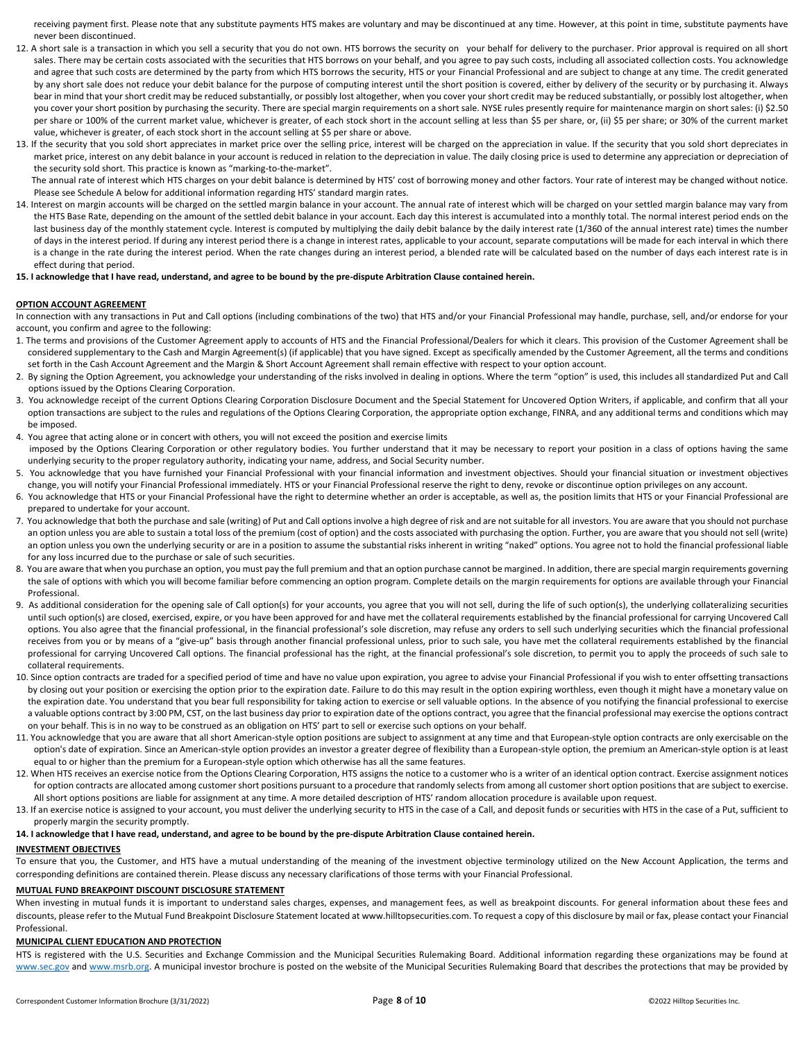receiving payment first. Please note that any substitute payments HTS makes are voluntary and may be discontinued at any time. However, at this point in time, substitute payments have never been discontinued.

- 12. A short sale is a transaction in which you sell a security that you do not own. HTS borrows the security on your behalf for delivery to the purchaser. Prior approval is required on all short sales. There may be certain costs associated with the securities that HTS borrows on your behalf, and you agree to pay such costs, including all associated collection costs. You acknowledge and agree that such costs are determined by the party from which HTS borrows the security, HTS or your Financial Professional and are subject to change at any time. The credit generated by any short sale does not reduce your debit balance for the purpose of computing interest until the short position is covered, either by delivery of the security or by purchasing it. Always bear in mind that your short credit may be reduced substantially, or possibly lost altogether, when you cover your short credit may be reduced substantially, or possibly lost altogether, when you cover your short position by purchasing the security. There are special margin requirements on a short sale. NYSE rules presently require for maintenance margin on short sales: (i) \$2.50 per share or 100% of the current market value, whichever is greater, of each stock short in the account selling at less than \$5 per share, or, (ii) \$5 per share; or 30% of the current market value, whichever is greater, of each stock short in the account selling at \$5 per share or above.
- 13. If the security that you sold short appreciates in market price over the selling price, interest will be charged on the appreciation in value. If the security that you sold short depreciates in market price, interest on any debit balance in your account is reduced in relation to the depreciation in value. The daily closing price is used to determine any appreciation or depreciation of the security sold short. This practice is known as "marking-to-the-market".

 The annual rate of interest which HTS charges on your debit balance is determined by HTS' cost of borrowing money and other factors. Your rate of interest may be changed without notice. Please see Schedule A below for additional information regarding HTS' standard margin rates.

14. Interest on margin accounts will be charged on the settled margin balance in your account. The annual rate of interest which will be charged on your settled margin balance may vary from the HTS Base Rate, depending on the amount of the settled debit balance in your account. Each day this interest is accumulated into a monthly total. The normal interest period ends on the last business day of the monthly statement cycle. Interest is computed by multiplying the daily debit balance by the daily interest rate (1/360 of the annual interest rate) times the number of days in the interest period. If during any interest period there is a change in interest rates, applicable to your account, separate computations will be made for each interval in which there is a change in the rate during the interest period. When the rate changes during an interest period, a blended rate will be calculated based on the number of days each interest rate is in effect during that period.

#### **15. I acknowledge that I have read, understand, and agree to be bound by the pre-dispute Arbitration Clause contained herein.**

## **OPTION ACCOUNT AGREEMENT**

In connection with any transactions in Put and Call options (including combinations of the two) that HTS and/or your Financial Professional may handle, purchase, sell, and/or endorse for your account, you confirm and agree to the following:

- 1. The terms and provisions of the Customer Agreement apply to accounts of HTS and the Financial Professional/Dealers for which it clears. This provision of the Customer Agreement shall be considered supplementary to the Cash and Margin Agreement(s) (if applicable) that you have signed. Except as specifically amended by the Customer Agreement, all the terms and conditions set forth in the Cash Account Agreement and the Margin & Short Account Agreement shall remain effective with respect to your option account.
- 2. By signing the Option Agreement, you acknowledge your understanding of the risks involved in dealing in options. Where the term "option" is used, this includes all standardized Put and Call options issued by the Options Clearing Corporation.
- 3. You acknowledge receipt of the current Options Clearing Corporation Disclosure Document and the Special Statement for Uncovered Option Writers, if applicable, and confirm that all your option transactions are subject to the rules and regulations of the Options Clearing Corporation, the appropriate option exchange, FINRA, and any additional terms and conditions which may be imposed.
- 4. You agree that acting alone or in concert with others, you will not exceed the position and exercise limits imposed by the Options Clearing Corporation or other regulatory bodies. You further understand that it may be necessary to report your position in a class of options having the same underlying security to the proper regulatory authority, indicating your name, address, and Social Security number.
- 5. You acknowledge that you have furnished your Financial Professional with your financial information and investment objectives. Should your financial situation or investment objectives change, you will notify your Financial Professional immediately. HTS or your Financial Professional reserve the right to deny, revoke or discontinue option privileges on any account.
- 6. You acknowledge that HTS or your Financial Professional have the right to determine whether an order is acceptable, as well as, the position limits that HTS or your Financial Professional are prepared to undertake for your account.
- 7. You acknowledge that both the purchase and sale (writing) of Put and Call options involve a high degree of risk and are not suitable for all investors. You are aware that you should not purchase an option unless you are able to sustain a total loss of the premium (cost of option) and the costs associated with purchasing the option. Further, you are aware that you should not sell (write) an option unless you own the underlying security or are in a position to assume the substantial risks inherent in writing "naked" options. You agree not to hold the financial professional liable for any loss incurred due to the purchase or sale of such securities.
- 8. You are aware that when you purchase an option, you must pay the full premium and that an option purchase cannot be margined. In addition, there are special margin requirements governing the sale of options with which you will become familiar before commencing an option program. Complete details on the margin requirements for options are available through your Financial Professional.
- 9. As additional consideration for the opening sale of Call option(s) for your accounts, you agree that you will not sell, during the life of such option(s), the underlying collateralizing securities until such option(s) are closed, exercised, expire, or you have been approved for and have met the collateral requirements established by the financial professional for carrying Uncovered Call options. You also agree that the financial professional, in the financial professional's sole discretion, may refuse any orders to sell such underlying securities which the financial professional receives from you or by means of a "give-up" basis through another financial professional unless, prior to such sale, you have met the collateral requirements established by the financial professional for carrying Uncovered Call options. The financial professional has the right, at the financial professional's sole discretion, to permit you to apply the proceeds of such sale to collateral requirements.
- 10. Since option contracts are traded for a specified period of time and have no value upon expiration, you agree to advise your Financial Professional if you wish to enter offsetting transactions by closing out your position or exercising the option prior to the expiration date. Failure to do this may result in the option expiring worthless, even though it might have a monetary value on the expiration date. You understand that you bear full responsibility for taking action to exercise or sell valuable options. In the absence of you notifying the financial professional to exercise a valuable options contract by 3:00 PM, CST, on the last business day prior to expiration date of the options contract, you agree that the financial professional may exercise the options contract on your behalf. This is in no way to be construed as an obligation on HTS' part to sell or exercise such options on your behalf.
- 11. You acknowledge that you are aware that all short American-style option positions are subject to assignment at any time and that European-style option contracts are only exercisable on the option's date of expiration. Since an American-style option provides an investor a greater degree of flexibility than a European-style option, the premium an American-style option is at least equal to or higher than the premium for a European-style option which otherwise has all the same features.
- 12. When HTS receives an exercise notice from the Options Clearing Corporation, HTS assigns the notice to a customer who is a writer of an identical option contract. Exercise assignment notices for option contracts are allocated among customer short positions pursuant to a procedure that randomly selects from among all customer short option positions that are subject to exercise. All short options positions are liable for assignment at any time. A more detailed description of HTS' random allocation procedure is available upon request.
- 13. If an exercise notice is assigned to your account, you must deliver the underlying security to HTS in the case of a Call, and deposit funds or securities with HTS in the case of a Put, sufficient to properly margin the security promptly.

#### **14. I acknowledge that I have read, understand, and agree to be bound by the pre-dispute Arbitration Clause contained herein.**

## **INVESTMENT OBJECTIVES**

To ensure that you, the Customer, and HTS have a mutual understanding of the meaning of the investment objective terminology utilized on the New Account Application, the terms and corresponding definitions are contained therein. Please discuss any necessary clarifications of those terms with your Financial Professional.

## **MUTUAL FUND BREAKPOINT DISCOUNT DISCLOSURE STATEMENT**

When investing in mutual funds it is important to understand sales charges, expenses, and management fees, as well as breakpoint discounts. For general information about these fees and discounts, please refer to the Mutual Fund Breakpoint Disclosure Statement located at www.hilltopsecurities.com. To request a copy of this disclosure by mail or fax, please contact your Financial Professional.

## **MUNICIPAL CLIENT EDUCATION AND PROTECTION**

HTS is registered with the U.S. Securities and Exchange Commission and the Municipal Securities Rulemaking Board. Additional information regarding these organizations may be found at [www.sec.gov](http://www.sec.gov/) and [www.msrb.org.](http://www.msrb.org/) A municipal investor brochure is posted on the website of the Municipal Securities Rulemaking Board that describes the protections that may be provided by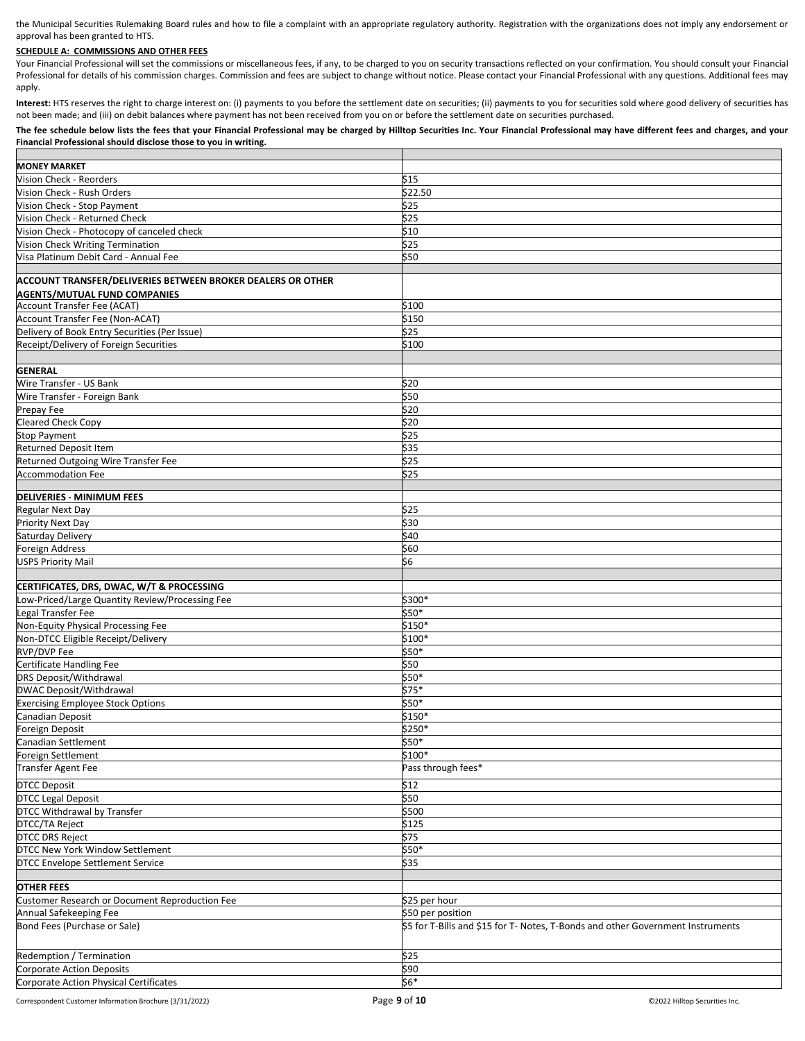the Municipal Securities Rulemaking Board rules and how to file a complaint with an appropriate regulatory authority. Registration with the organizations does not imply any endorsement or approval has been granted to HTS.

## **SCHEDULE A: COMMISSIONS AND OTHER FEES**

Your Financial Professional will set the commissions or miscellaneous fees, if any, to be charged to you on security transactions reflected on your confirmation. You should consult your Financial Professional for details of his commission charges. Commission and fees are subject to change without notice. Please contact your Financial Professional with any questions. Additional fees may apply.

Interest: HTS reserves the right to charge interest on: (i) payments to you before the settlement date on securities; (ii) payments to you for securities sold where good delivery of securities has not been made; and (iii) on debit balances where payment has not been received from you on or before the settlement date on securities purchased.

## **The fee schedule below lists the fees that your Financial Professional may be charged by Hilltop Securities Inc. Your Financial Professional may have different fees and charges, and your Financial Professional should disclose those to you in writing.**

| <b>MONEY MARKET</b>                                         |                                                                                 |
|-------------------------------------------------------------|---------------------------------------------------------------------------------|
| Vision Check - Reorders                                     | \$15                                                                            |
| Vision Check - Rush Orders                                  | \$22.50                                                                         |
|                                                             |                                                                                 |
| Vision Check - Stop Payment                                 | \$25                                                                            |
| Vision Check - Returned Check                               | \$25                                                                            |
| Vision Check - Photocopy of canceled check                  | \$10                                                                            |
| Vision Check Writing Termination                            | \$25                                                                            |
| Visa Platinum Debit Card - Annual Fee                       | \$50                                                                            |
|                                                             |                                                                                 |
| ACCOUNT TRANSFER/DELIVERIES BETWEEN BROKER DEALERS OR OTHER |                                                                                 |
| <b>AGENTS/MUTUAL FUND COMPANIES</b>                         |                                                                                 |
| <b>Account Transfer Fee (ACAT)</b>                          | \$100                                                                           |
| Account Transfer Fee (Non-ACAT)                             | \$150                                                                           |
| Delivery of Book Entry Securities (Per Issue)               | \$25                                                                            |
| Receipt/Delivery of Foreign Securities                      | \$100                                                                           |
|                                                             |                                                                                 |
|                                                             |                                                                                 |
| <b>GENERAL</b>                                              |                                                                                 |
| Wire Transfer - US Bank                                     | \$20                                                                            |
| Wire Transfer - Foreign Bank                                | \$50                                                                            |
| Prepay Fee                                                  | \$20                                                                            |
| <b>Cleared Check Copy</b>                                   | \$20                                                                            |
| <b>Stop Payment</b>                                         | \$25                                                                            |
| Returned Deposit Item                                       | \$35                                                                            |
| Returned Outgoing Wire Transfer Fee                         | \$25                                                                            |
|                                                             |                                                                                 |
| <b>Accommodation Fee</b>                                    | \$25                                                                            |
|                                                             |                                                                                 |
| <b>DELIVERIES - MINIMUM FEES</b>                            |                                                                                 |
| <b>Regular Next Day</b>                                     | \$25                                                                            |
| Priority Next Day                                           | \$30                                                                            |
| Saturday Delivery                                           | \$40                                                                            |
| <b>Foreign Address</b>                                      | \$60                                                                            |
| <b>USPS Priority Mail</b>                                   | \$6                                                                             |
|                                                             |                                                                                 |
| CERTIFICATES, DRS, DWAC, W/T & PROCESSING                   |                                                                                 |
| Low-Priced/Large Quantity Review/Processing Fee             | \$300*                                                                          |
| Legal Transfer Fee                                          | \$50*                                                                           |
| Non-Equity Physical Processing Fee                          | $$150*$                                                                         |
|                                                             | \$100*                                                                          |
| Non-DTCC Eligible Receipt/Delivery                          |                                                                                 |
| <b>RVP/DVP Fee</b>                                          | \$50*                                                                           |
| Certificate Handling Fee                                    | \$50                                                                            |
| DRS Deposit/Withdrawal                                      | \$50*                                                                           |
| DWAC Deposit/Withdrawal                                     | $$75*$                                                                          |
| <b>Exercising Employee Stock Options</b>                    | \$50*                                                                           |
| Canadian Deposit                                            | \$150*                                                                          |
| Foreign Deposit                                             | \$250*                                                                          |
| Canadian Settlement                                         | \$50*                                                                           |
| Foreign Settlement                                          | \$100*                                                                          |
|                                                             | Pass through fees*                                                              |
| <b>Transfer Agent Fee</b>                                   |                                                                                 |
| <b>DTCC Deposit</b>                                         | \$12                                                                            |
| <b>DTCC Legal Deposit</b>                                   | \$50                                                                            |
| DTCC Withdrawal by Transfer                                 | \$500                                                                           |
| DTCC/TA Reject                                              | \$125                                                                           |
| <b>DTCC DRS Reject</b>                                      | \$75                                                                            |
|                                                             |                                                                                 |
| DTCC New York Window Settlement                             | $$50*$                                                                          |
| <b>DTCC Envelope Settlement Service</b>                     | \$35                                                                            |
|                                                             |                                                                                 |
| <b>OTHER FEES</b>                                           |                                                                                 |
| Customer Research or Document Reproduction Fee              | \$25 per hour                                                                   |
| Annual Safekeeping Fee                                      | \$50 per position                                                               |
| Bond Fees (Purchase or Sale)                                | \$5 for T-Bills and \$15 for T- Notes, T-Bonds and other Government Instruments |
|                                                             |                                                                                 |
|                                                             |                                                                                 |
| Redemption / Termination                                    | \$25                                                                            |
| <b>Corporate Action Deposits</b>                            | \$90                                                                            |
| Corporate Action Physical Certificates                      | \$6*                                                                            |